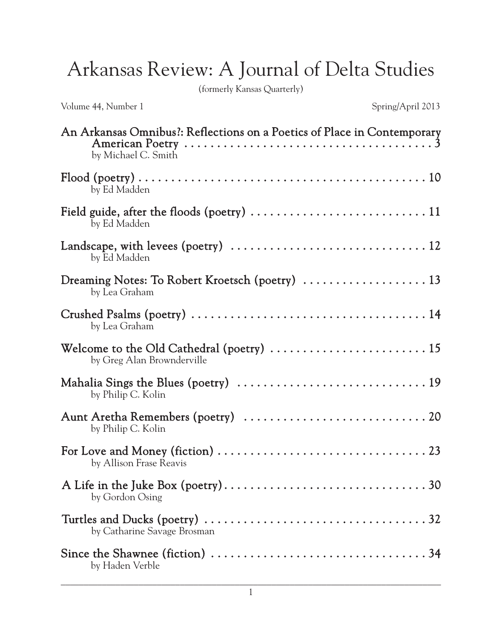## Arkansas Review: A Journal of Delta Studies

(formerly Kansas Quarterly)

Volume 44, Number 1 Spring/April 2013

| An Arkansas Omnibus?: Reflections on a Poetics of Place in Contemporary<br>American Poetry $\dots\dots\dots\dots\dots\dots\dots\dots\dots\dots\dots\dots\dots3$<br>by Michael C. Smith |
|----------------------------------------------------------------------------------------------------------------------------------------------------------------------------------------|
| by Ed Madden                                                                                                                                                                           |
| by Ed Madden                                                                                                                                                                           |
| by Ed Madden                                                                                                                                                                           |
| Dreaming Notes: To Robert Kroetsch (poetry)  13<br>by Lea Graham                                                                                                                       |
| by Lea Graham                                                                                                                                                                          |
| Welcome to the Old Cathedral (poetry) $\dots\dots\dots\dots\dots\dots\dots\dots\dots$<br>by Greg Alan Brownderville                                                                    |
| by Philip C. Kolin                                                                                                                                                                     |
| by Philip C. Kolin                                                                                                                                                                     |
| by Allison Frase Reavis                                                                                                                                                                |
| by Gordon Osing                                                                                                                                                                        |
| Turtles and Ducks (poetry) $\dots \dots \dots \dots \dots \dots \dots \dots \dots \dots \dots \dots \dots \dots 32$<br>by Catharine Savage Brosman                                     |
| by Haden Verble                                                                                                                                                                        |